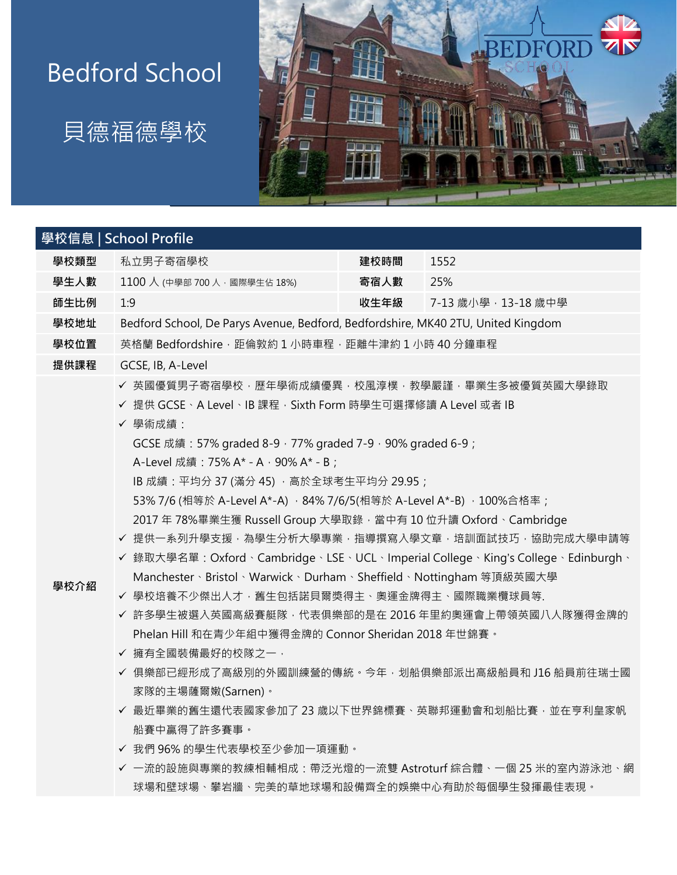## Bedford School





|      | 學校信息   School Profile                                                                                                                                                                                                                                                                                                                                                                                                                                                                                                                                                                                                                                                                                                                                                                                                                                                                                                                                                     |      |                     |  |
|------|---------------------------------------------------------------------------------------------------------------------------------------------------------------------------------------------------------------------------------------------------------------------------------------------------------------------------------------------------------------------------------------------------------------------------------------------------------------------------------------------------------------------------------------------------------------------------------------------------------------------------------------------------------------------------------------------------------------------------------------------------------------------------------------------------------------------------------------------------------------------------------------------------------------------------------------------------------------------------|------|---------------------|--|
| 學校類型 | 私立男子寄宿學校                                                                                                                                                                                                                                                                                                                                                                                                                                                                                                                                                                                                                                                                                                                                                                                                                                                                                                                                                                  | 建校時間 | 1552                |  |
| 學生人數 | 1100 人 (中學部 700 人, 國際學生佔 18%)                                                                                                                                                                                                                                                                                                                                                                                                                                                                                                                                                                                                                                                                                                                                                                                                                                                                                                                                             | 寄宿人數 | 25%                 |  |
| 師生比例 | 1:9                                                                                                                                                                                                                                                                                                                                                                                                                                                                                                                                                                                                                                                                                                                                                                                                                                                                                                                                                                       | 收生年級 | 7-13 歲小學, 13-18 歲中學 |  |
| 學校地址 | Bedford School, De Parys Avenue, Bedford, Bedfordshire, MK40 2TU, United Kingdom                                                                                                                                                                                                                                                                                                                                                                                                                                                                                                                                                                                                                                                                                                                                                                                                                                                                                          |      |                     |  |
| 學校位置 | 英格蘭 Bedfordshire · 距倫敦約1小時車程 · 距離牛津約1小時40分鐘車程                                                                                                                                                                                                                                                                                                                                                                                                                                                                                                                                                                                                                                                                                                                                                                                                                                                                                                                             |      |                     |  |
| 提供課程 | GCSE, IB, A-Level                                                                                                                                                                                                                                                                                                                                                                                                                                                                                                                                                                                                                                                                                                                                                                                                                                                                                                                                                         |      |                     |  |
| 學校介紹 | ✔ 英國優質男子寄宿學校‧歷年學術成績優異‧校風淳樸‧教學嚴謹‧畢業生多被優質英國大學錄取<br>✔ 提供 GCSE、A Level、IB 課程, Sixth Form 時學生可選擇修讀 A Level 或者 IB<br>√ 學術成績:<br>GCSE 成績: 57% graded 8-9, 77% graded 7-9, 90% graded 6-9;<br>A-Level 成績: 75% A* - A · 90% A* - B;<br>IB 成績:平均分 37 (滿分 45) , 高於全球考生平均分 29.95;<br>53% 7/6 (相等於 A-Level A*-A) · 84% 7/6/5(相等於 A-Level A*-B) · 100%合格率;<br>2017年78%畢業生獲 Russell Group 大學取錄,當中有10位升讀 Oxford、Cambridge<br>✔ 提供一系列升學支援‧為學生分析大學專業‧指導撰寫入學文章‧培訓面試技巧‧協助完成大學申請等<br>✔ 錄取大學名單: Oxford、Cambridge、LSE、UCL、Imperial College、King's College、Edinburgh、<br>Manchester、Bristol、Warwick、Durham、Sheffield、Nottingham 等頂級英國大學<br>✔ 學校培養不少傑出人才‧舊生包括諾貝爾獎得主、奧運金牌得主、國際職業欖球員等.<br>✔ 許多學生被選入英國高級賽艇隊,代表俱樂部的是在 2016 年里約奧運會上帶領英國八人隊獲得金牌的<br>Phelan Hill 和在青少年組中獲得金牌的 Connor Sheridan 2018 年世錦賽。<br>✔ 擁有全國裝備最好的校隊之一,<br>✔ 俱樂部已經形成了高級別的外國訓練營的傳統。今年‧划船俱樂部派出高級船員和 J16 船員前往瑞士國<br>家隊的主場薩爾嫩(Sarnen)。<br>✔ 最近畢業的舊生還代表國家參加了 23 歳以下世界錦標賽、英聯邦運動會和划船比賽, 並在亨利皇家帆<br>船賽中贏得了許多賽事。<br>✔ 我們 96% 的學生代表學校至少參加一項運動。 |      |                     |  |

球場和壁球場、攀岩牆、完美的草地球場和設備齊全的娛樂中心有助於每個學生發揮最佳表現。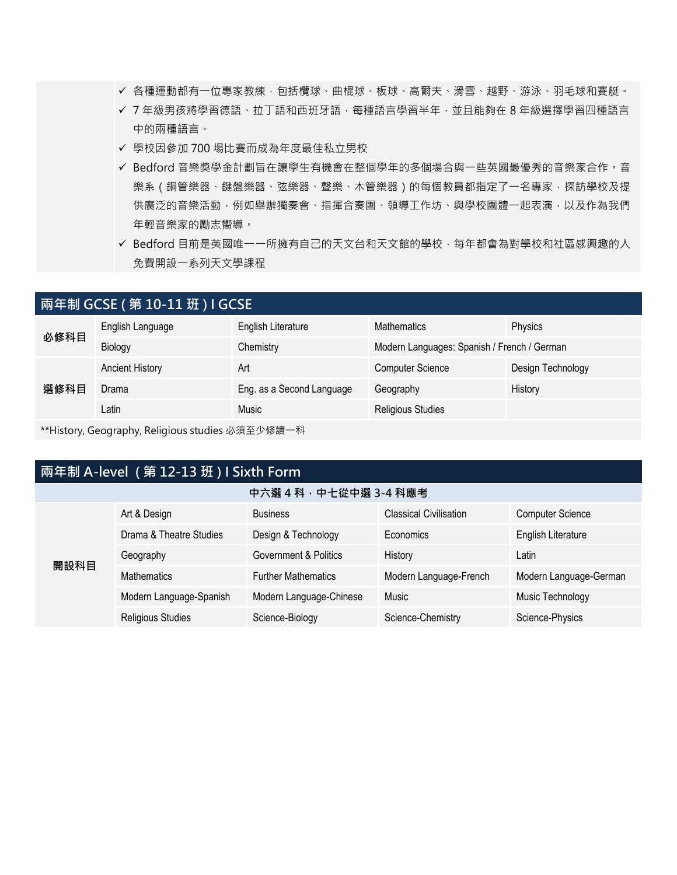- ✔ 各種運動都有一位專家教練,包括欖球、曲棍球、板球、高爾夫、滑雪、越野、游泳、羽毛球和賽艇。
- ✔ 7 年級男孩將學習德語、拉丁語和西班牙語,每種語言學習半年,並且能夠在 8 年級選擇學習四種語言 中的兩種語言。
- ✓ 學校因參加 700 場比賽而成為年度最佳私立男校
- ✓ Bedford 音樂獎學金計劃旨在讓學生有機會在整個學年的多個場合與一些英國最優秀的音樂家合作。音 樂系 (銅管樂器、鍵盤樂器、弦樂器、聲樂、木管樂器)的每個教員都指定了一名專家,探訪學校及提 供廣泛的音樂活動,例如舉辦獨奏會、指揮合奏團、領導工作坊、與學校團體一起表演,以及作為我們 年輕音樂家的勵志嚮導。
- ✓ Bedford 目前是英國唯一一所擁有自己的天文台和天文館的學校,每年都會為對學校和社區感興趣的人 免費開設一系列天文學課程

| 兩年制 GCSE ( 第 10-11 班 ) I GCSE |                        |                           |                                             |                   |
|-------------------------------|------------------------|---------------------------|---------------------------------------------|-------------------|
| 必修科目                          | English Language       | English Literature        | <b>Mathematics</b>                          | <b>Physics</b>    |
|                               | Biology                | Chemistry                 | Modern Languages: Spanish / French / German |                   |
| 選修科目                          | <b>Ancient History</b> | Art                       | <b>Computer Science</b>                     | Design Technology |
|                               | Drama                  | Eng. as a Second Language | Geography                                   | History           |
|                               | Latin                  | Music                     | <b>Religious Studies</b>                    |                   |
|                               |                        |                           |                                             |                   |

\*\*History, Geography, Religious studies 必須至少修讀一科

## **兩年制 A-level ( 第 12-13 班 ) I Sixth Form**

| 開設科目 | Art & Design             | <b>Business</b>            | <b>Classical Civilisation</b> | <b>Computer Science</b> |
|------|--------------------------|----------------------------|-------------------------------|-------------------------|
|      | Drama & Theatre Studies  | Design & Technology        | <b>Economics</b>              | English Literature      |
|      | Geography                | Government & Politics      | History                       | Latin                   |
|      | <b>Mathematics</b>       | <b>Further Mathematics</b> | Modern Language-French        | Modern Language-German  |
|      | Modern Language-Spanish  | Modern Language-Chinese    | Music                         | Music Technology        |
|      | <b>Religious Studies</b> | Science-Biology            | Science-Chemistry             | Science-Physics         |